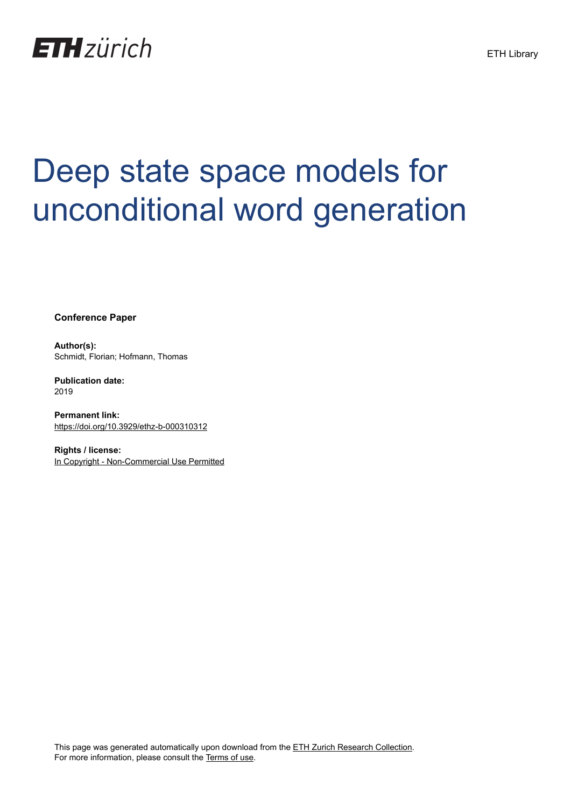

# Deep state space models for unconditional word generation

**Conference Paper**

**Author(s):** Schmidt, Florian; Hofmann, Thomas

**Publication date:** 2019

**Permanent link:** <https://doi.org/10.3929/ethz-b-000310312>

**Rights / license:** [In Copyright - Non-Commercial Use Permitted](http://rightsstatements.org/page/InC-NC/1.0/)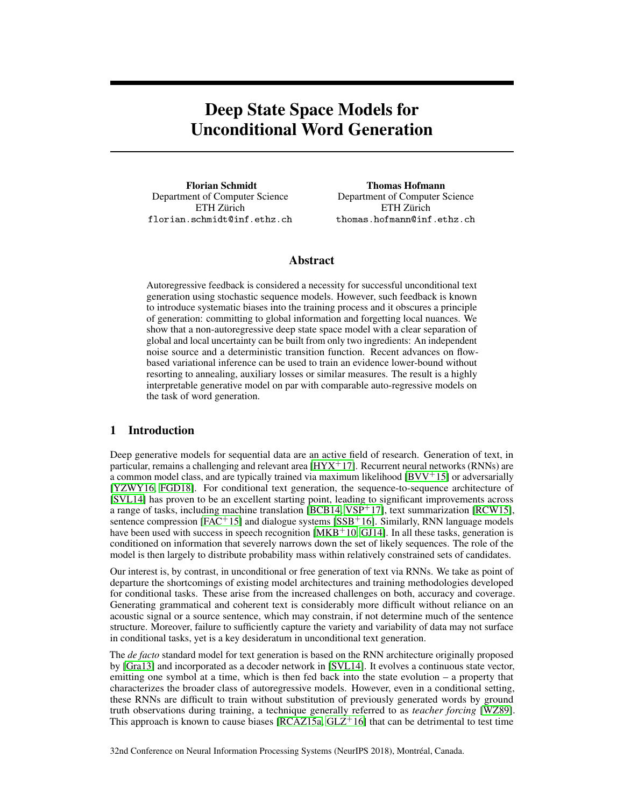# Deep State Space Models for Unconditional Word Generation

Florian Schmidt Department of Computer Science ETH Zürich florian.schmidt@inf.ethz.ch

Thomas Hofmann Department of Computer Science ETH Zürich thomas.hofmann@inf.ethz.ch

# <span id="page-1-8"></span><span id="page-1-1"></span>Abstract

Autoregressive feedback is considered a necessity for successful unconditional text generation using stochastic sequence models. However, such feedback is known to introduce systematic biases into the training process and it obscures a principle of generation: committing to global information and forgetting local nuances. We show that a non-autoregressive deep state space model with a clear separation of global and local uncertainty can be built from only two ingredients: An independent noise source and a deterministic transition function. Recent advances on flowbased variational inference can be used to train an evidence lower-bound without resorting to annealing, auxiliary losses or similar measures. The result is a highly interpretable generative model on par with comparable auto-regressive models on the task of word generation.

# 1 Introduction

<span id="page-1-10"></span><span id="page-1-7"></span><span id="page-1-3"></span><span id="page-1-0"></span>Deep generative models for sequential data are an active field of research. Generation of text, in particular, remains a challenging and relevant area  $[HYX<sup>+</sup>17]$  $[HYX<sup>+</sup>17]$ . Recurrent neural networks (RNNs) are a common model class, and are typically trained via maximum likelihood  $[BVV^+15]$  $[BVV^+15]$  or adversarially [\[YZWY16,](#page-11-0) [FGD18\]](#page-10-2). For conditional text generation, the sequence-to-sequence architecture of [\[SVL14\]](#page-11-1) has proven to be an excellent starting point, leading to significant improvements across a range of tasks, including machine translation [\[BCB14,](#page-10-3) [VSP](#page-11-2)<sup>+</sup>17], text summarization [\[RCW15\]](#page-11-3), sentence compression [\[FAC](#page-10-4)<sup>+</sup>15] and dialogue systems [\[SSB](#page-11-4)<sup>+</sup>16]. Similarly, RNN language models have been used with success in speech recognition  $[MKB<sup>+</sup>10, GJ14]$  $[MKB<sup>+</sup>10, GJ14]$  $[MKB<sup>+</sup>10, GJ14]$ . In all these tasks, generation is conditioned on information that severely narrows down the set of likely sequences. The role of the model is then largely to distribute probability mass within relatively constrained sets of candidates.

<span id="page-1-9"></span><span id="page-1-4"></span><span id="page-1-2"></span>Our interest is, by contrast, in unconditional or free generation of text via RNNs. We take as point of departure the shortcomings of existing model architectures and training methodologies developed for conditional tasks. These arise from the increased challenges on both, accuracy and coverage. Generating grammatical and coherent text is considerably more difficult without reliance on an acoustic signal or a source sentence, which may constrain, if not determine much of the sentence structure. Moreover, failure to sufficiently capture the variety and variability of data may not surface in conditional tasks, yet is a key desideratum in unconditional text generation.

<span id="page-1-11"></span><span id="page-1-6"></span>The *de facto* standard model for text generation is based on the RNN architecture originally proposed by [\[Gra13\]](#page-10-6) and incorporated as a decoder network in [\[SVL14\]](#page-11-1). It evolves a continuous state vector, emitting one symbol at a time, which is then fed back into the state evolution – a property that characterizes the broader class of autoregressive models. However, even in a conditional setting, these RNNs are difficult to train without substitution of previously generated words by ground truth observations during training, a technique generally referred to as *teacher forcing* [\[WZ89\]](#page-11-6). This approach is known to cause biases  $[RCAZ15a, GLZ<sup>+</sup>16]$  $[RCAZ15a, GLZ<sup>+</sup>16]$  $[RCAZ15a, GLZ<sup>+</sup>16]$  $[RCAZ15a, GLZ<sup>+</sup>16]$  that can be detrimental to test time

<span id="page-1-12"></span><span id="page-1-5"></span>32nd Conference on Neural Information Processing Systems (NeurIPS 2018), Montréal, Canada.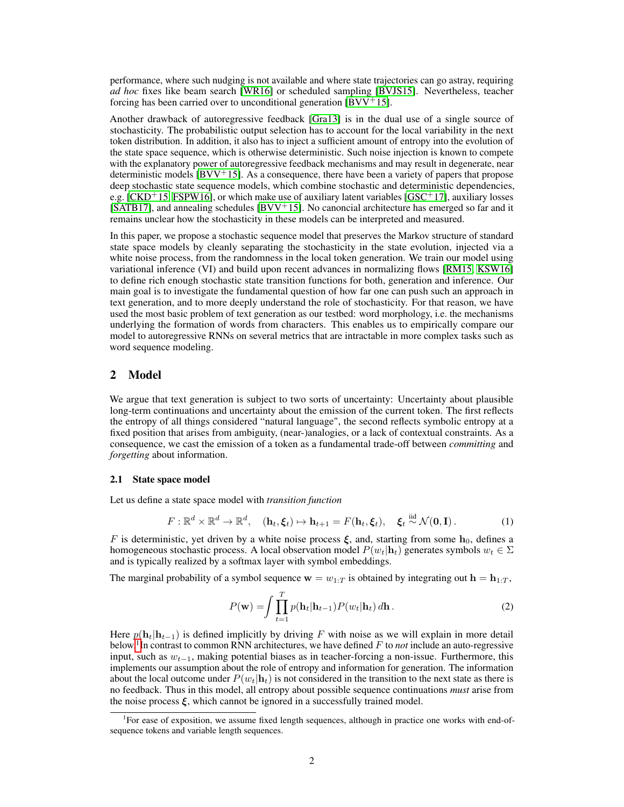<span id="page-2-12"></span><span id="page-2-4"></span><span id="page-2-3"></span>performance, where such nudging is not available and where state trajectories can go astray, requiring *ad hoc* fixes like beam search [\[WR16\]](#page-11-8) or scheduled sampling [\[BVJS15\]](#page-10-8). Nevertheless, teacher forcing has been carried over to unconditional generation  $[BVV^+15]$  $[BVV^+15]$ .

<span id="page-2-8"></span><span id="page-2-5"></span>Another drawback of autoregressive feedback [\[Gra13\]](#page-10-6) is in the dual use of a single source of stochasticity. The probabilistic output selection has to account for the local variability in the next token distribution. In addition, it also has to inject a sufficient amount of entropy into the evolution of the state space sequence, which is otherwise deterministic. Such noise injection is known to compete with the explanatory power of autoregressive feedback mechanisms and may result in degenerate, near deterministic models  $\rm [BVV^+15]$  $\rm [BVV^+15]$  $\rm [BVV^+15]$ . As a consequence, there have been a variety of papers that propose deep stochastic state sequence models, which combine stochastic and deterministic dependencies, e.g.  $[CKD+15, FSPW16]$  $[CKD+15, FSPW16]$  $[CKD+15, FSPW16]$ , or which make use of auxiliary latent variables  $[GSC+17]$  $[GSC+17]$ , auxiliary losses  $[SATB17]$ , and annealing schedules  $[BVV<sup>+</sup>15]$  $[BVV<sup>+</sup>15]$ . No canoncial architecture has emerged so far and it remains unclear how the stochasticity in these models can be interpreted and measured.

<span id="page-2-11"></span><span id="page-2-10"></span><span id="page-2-9"></span><span id="page-2-7"></span><span id="page-2-6"></span>In this paper, we propose a stochastic sequence model that preserves the Markov structure of standard state space models by cleanly separating the stochasticity in the state evolution, injected via a white noise process, from the randomness in the local token generation. We train our model using variational inference (VI) and build upon recent advances in normalizing flows [\[RM15,](#page-11-10) [KSW16\]](#page-11-11) to define rich enough stochastic state transition functions for both, generation and inference. Our main goal is to investigate the fundamental question of how far one can push such an approach in text generation, and to more deeply understand the role of stochasticity. For that reason, we have used the most basic problem of text generation as our testbed: word morphology, i.e. the mechanisms underlying the formation of words from characters. This enables us to empirically compare our model to autoregressive RNNs on several metrics that are intractable in more complex tasks such as word sequence modeling.

# 2 Model

We argue that text generation is subject to two sorts of uncertainty: Uncertainty about plausible long-term continuations and uncertainty about the emission of the current token. The first reflects the entropy of all things considered "natural language", the second reflects symbolic entropy at a fixed position that arises from ambiguity, (near-)analogies, or a lack of contextual constraints. As a consequence, we cast the emission of a token as a fundamental trade-off between *committing* and *forgetting* about information.

#### 2.1 State space model

Let us define a state space model with *transition function*

$$
F: \mathbb{R}^d \times \mathbb{R}^d \to \mathbb{R}^d, \quad (\mathbf{h}_t, \boldsymbol{\xi}_t) \mapsto \mathbf{h}_{t+1} = F(\mathbf{h}_t, \boldsymbol{\xi}_t), \quad \boldsymbol{\xi}_t \stackrel{\text{iid}}{\sim} \mathcal{N}(\mathbf{0}, \mathbf{I}). \tag{1}
$$

F is deterministic, yet driven by a white noise process  $\xi$ , and, starting from some  $h_0$ , defines a homogeneous stochastic process. A local observation model  $P(w_t|\mathbf{h}_t)$  generates symbols  $w_t \in \Sigma$ and is typically realized by a softmax layer with symbol embeddings.

The marginal probability of a symbol sequence  $\mathbf{w} = w_{1:T}$  is obtained by integrating out  $\mathbf{h} = \mathbf{h}_{1:T}$ ,

<span id="page-2-2"></span><span id="page-2-1"></span>
$$
P(\mathbf{w}) = \int \prod_{t=1}^{T} p(\mathbf{h}_t | \mathbf{h}_{t-1}) P(w_t | \mathbf{h}_t) d\mathbf{h}.
$$
 (2)

Here  $p(\mathbf{h}_t|\mathbf{h}_{t-1})$  is defined implicitly by driving F with noise as we will explain in more detail below.[1](#page-2-0) In contrast to common RNN architectures, we have defined F to *not* include an auto-regressive input, such as  $w_{t-1}$ , making potential biases as in teacher-forcing a non-issue. Furthermore, this implements our assumption about the role of entropy and information for generation. The information about the local outcome under  $P(w_t|\mathbf{h}_t)$  is not considered in the transition to the next state as there is no feedback. Thus in this model, all entropy about possible sequence continuations *must* arise from the noise process  $\xi$ , which cannot be ignored in a successfully trained model.

<span id="page-2-0"></span><sup>&</sup>lt;sup>1</sup>For ease of exposition, we assume fixed length sequences, although in practice one works with end-ofsequence tokens and variable length sequences.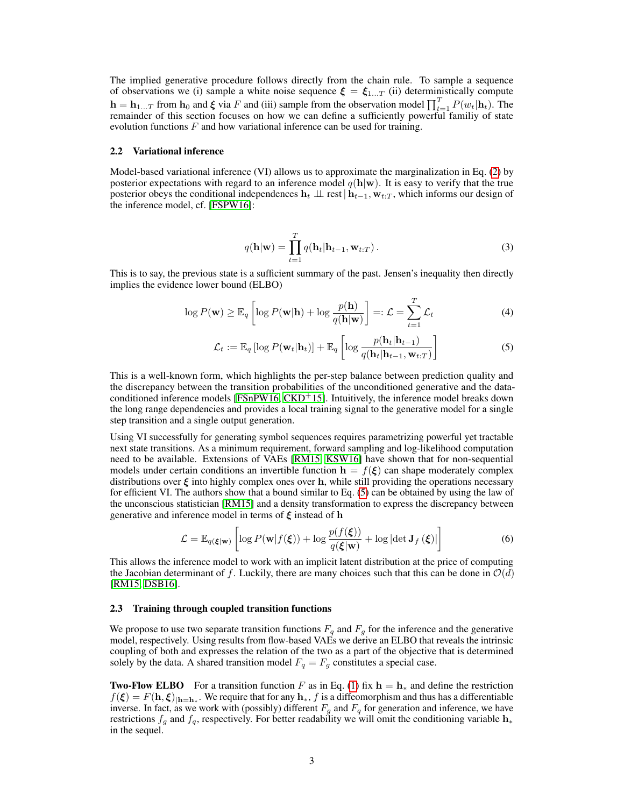The implied generative procedure follows directly from the chain rule. To sample a sequence of observations we (i) sample a white noise sequence  $\xi = \xi_{1...T}$  (ii) deterministically compute  $h = h_{1...T}$  from  $h_0$  and  $\xi$  via F and (iii) sample from the observation model  $\prod_{t=1}^T P(w_t|h_t)$ . The remainder of this section focuses on how we can define a sufficiently powerful familiy of state evolution functions  $F$  and how variational inference can be used for training.

#### 2.2 Variational inference

Model-based variational inference (VI) allows us to approximate the marginalization in Eq. [\(2\)](#page-2-1) by posterior expectations with regard to an inference model  $q(\mathbf{h}|\mathbf{w})$ . It is easy to verify that the true posterior obeys the conditional independences  $h_t \perp \text{L}$  rest  $|h_{t-1}, w_{t:T}$ , which informs our design of the inference model, cf. [\[FSPW16\]](#page-10-10):

<span id="page-3-5"></span><span id="page-3-2"></span><span id="page-3-0"></span>
$$
q(\mathbf{h}|\mathbf{w}) = \prod_{t=1}^{T} q(\mathbf{h}_t | \mathbf{h}_{t-1}, \mathbf{w}_{t:T}).
$$
\n(3)

This is to say, the previous state is a sufficient summary of the past. Jensen's inequality then directly implies the evidence lower bound (ELBO)

$$
\log P(\mathbf{w}) \ge \mathbb{E}_q \left[ \log P(\mathbf{w}|\mathbf{h}) + \log \frac{p(\mathbf{h})}{q(\mathbf{h}|\mathbf{w})} \right] =: \mathcal{L} = \sum_{t=1}^T \mathcal{L}_t
$$
 (4)

<span id="page-3-3"></span>
$$
\mathcal{L}_t := \mathbb{E}_q \left[ \log P(\mathbf{w}_t | \mathbf{h}_t) \right] + \mathbb{E}_q \left[ \log \frac{p(\mathbf{h}_t | \mathbf{h}_{t-1})}{q(\mathbf{h}_t | \mathbf{h}_{t-1}, \mathbf{w}_{t:T})} \right]
$$
(5)

This is a well-known form, which highlights the per-step balance between prediction quality and the discrepancy between the transition probabilities of the unconditioned generative and the data-conditioned inference models [\[FSnPW16,](#page-10-12)  $CKD+15$  $CKD+15$ ]. Intuitively, the inference model breaks down the long range dependencies and provides a local training signal to the generative model for a single step transition and a single output generation.

Using VI successfully for generating symbol sequences requires parametrizing powerful yet tractable next state transitions. As a minimum requirement, forward sampling and log-likelihood computation need to be available. Extensions of VAEs [\[RM15,](#page-11-10) [KSW16\]](#page-11-11) have shown that for non-sequential models under certain conditions an invertible function  $h = f(\xi)$  can shape moderately complex distributions over  $\xi$  into highly complex ones over h, while still providing the operations necessary for efficient VI. The authors show that a bound similar to Eq. [\(5\)](#page-3-0) can be obtained by using the law of the unconscious statistician [\[RM15\]](#page-11-10) and a density transformation to express the discrepancy between generative and inference model in terms of  $\xi$  instead of h

<span id="page-3-7"></span><span id="page-3-6"></span><span id="page-3-1"></span>
$$
\mathcal{L} = \mathbb{E}_{q(\boldsymbol{\xi}|\mathbf{w})} \left[ \log P(\mathbf{w}|f(\boldsymbol{\xi})) + \log \frac{p(f(\boldsymbol{\xi}))}{q(\boldsymbol{\xi}|\mathbf{w})} + \log |\det \mathbf{J}_f(\boldsymbol{\xi})| \right] \tag{6}
$$

<span id="page-3-4"></span>This allows the inference model to work with an implicit latent distribution at the price of computing the Jacobian determinant of f. Luckily, there are many choices such that this can be done in  $\mathcal{O}(d)$ [\[RM15,](#page-11-10) [DSB16\]](#page-10-13).

#### 2.3 Training through coupled transition functions

We propose to use two separate transition functions  $F_q$  and  $F_g$  for the inference and the generative model, respectively. Using results from flow-based VAEs we derive an ELBO that reveals the intrinsic coupling of both and expresses the relation of the two as a part of the objective that is determined solely by the data. A shared transition model  $F_q = F_q$  constitutes a special case.

**Two-Flow ELBO** For a transition function F as in Eq. [\(1\)](#page-2-2) fix  $h = h_*$  and define the restriction  $f(\xi) = F(\mathbf{h}, \xi)|_{\mathbf{h} = \mathbf{h}_*}$ . We require that for any  $\mathbf{h}_*, f$  is a diffeomorphism and thus has a differentiable inverse. In fact, as we work with (possibly) different  $F_q$  and  $F_q$  for generation and inference, we have restrictions  $f_g$  and  $f_q$ , respectively. For better readability we will omit the conditioning variable  $h_*$ in the sequel.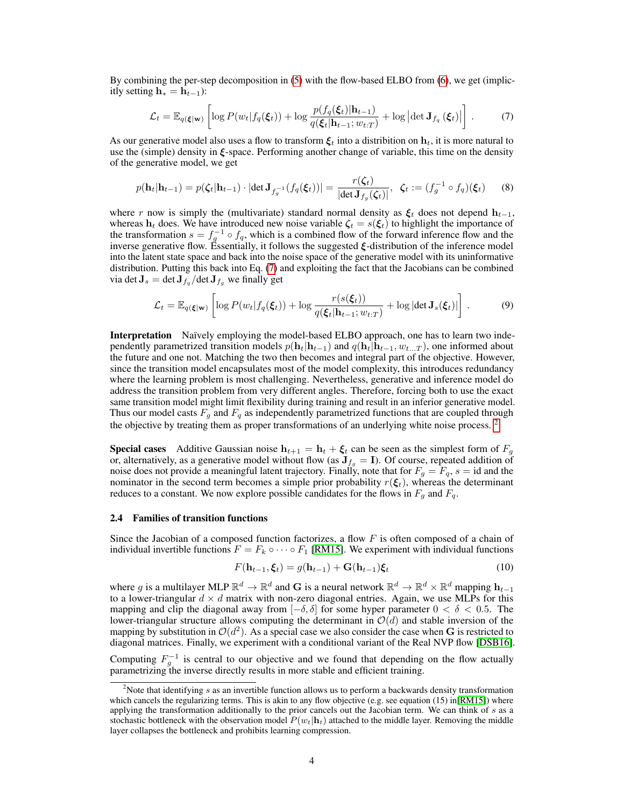By combining the per-step decomposition in [\(5\)](#page-3-0) with the flow-based ELBO from [\(6\)](#page-3-1), we get (implicitly setting  $h_* = h_{t-1}$ :

<span id="page-4-0"></span>
$$
\mathcal{L}_t = \mathbb{E}_{q(\boldsymbol{\xi}|\mathbf{w})} \left[ \log P(w_t | f_q(\boldsymbol{\xi}_t)) + \log \frac{p(f_q(\boldsymbol{\xi}_t)|\mathbf{h}_{t-1})}{q(\boldsymbol{\xi}_t|\mathbf{h}_{t-1}; w_{t:T})} + \log \left| \det \mathbf{J}_{f_q}(\boldsymbol{\xi}_t) \right| \right]. \tag{7}
$$

As our generative model also uses a flow to transform  $\xi_t$  into a distribition on  $h_t$ , it is more natural to use the (simple) density in  $\xi$ -space. Performing another change of variable, this time on the density of the generative model, we get

$$
p(\mathbf{h}_t | \mathbf{h}_{t-1}) = p(\zeta_t | \mathbf{h}_{t-1}) \cdot |\det \mathbf{J}_{f_g^{-1}}(f_q(\xi_t))| = \frac{r(\zeta_t)}{|\det \mathbf{J}_{f_g}(\zeta_t)|}, \ \ \zeta_t := (f_g^{-1} \circ f_q)(\xi_t) \tag{8}
$$

where r now is simply the (multivariate) standard normal density as  $\xi_t$  does not depend  $h_{t-1}$ , whereas  $h_t$  does. We have introduced new noise variable  $\zeta_t = s(\xi_t)$  to highlight the importance of the transformation  $s = f_q^{-1} \circ f_q$ , which is a combined flow of the forward inference flow and the inverse generative flow. Essentially, it follows the suggested  $\xi$ -distribution of the inference model into the latent state space and back into the noise space of the generative model with its uninformative distribution. Putting this back into Eq. [\(7\)](#page-4-0) and exploiting the fact that the Jacobians can be combined via det  $\mathbf{J}_s = \det \mathbf{J}_{f_q} / \det \mathbf{J}_{f_q}$  we finally get

$$
\mathcal{L}_t = \mathbb{E}_{q(\boldsymbol{\xi}|\mathbf{w})} \left[ \log P(w_t | f_q(\boldsymbol{\xi}_t)) + \log \frac{r(s(\boldsymbol{\xi}_t))}{q(\boldsymbol{\xi}_t | \mathbf{h}_{t-1}; w_{t:T})} + \log |\det \mathbf{J}_s(\boldsymbol{\xi}_t)| \right]. \tag{9}
$$

Interpretation Naïvely employing the model-based ELBO approach, one has to learn two independently parametrized transition models  $p(\mathbf{h}_t|\mathbf{h}_{t-1})$  and  $q(\mathbf{h}_t|\mathbf{h}_{t-1}, w_{t...T})$ , one informed about the future and one not. Matching the two then becomes and integral part of the objective. However, since the transition model encapsulates most of the model complexity, this introduces redundancy where the learning problem is most challenging. Nevertheless, generative and inference model do address the transition problem from very different angles. Therefore, forcing both to use the exact same transition model might limit flexibility during training and result in an inferior generative model. Thus our model casts  $F_g$  and  $F_q$  as independently parametrized functions that are coupled through the objective by treating them as proper transformations of an underlying white noise process.<sup>[2](#page-4-1)</sup>

**Special cases** Additive Gaussian noise  $h_{t+1} = h_t + \xi_t$  can be seen as the simplest form of  $F_g$ or, alternatively, as a generative model without flow (as  $J_{f_q} = I$ ). Of course, repeated addition of noise does not provide a meaningful latent trajectory. Finally, note that for  $F_g = F_q$ ,  $s = id$  and the nominator in the second term becomes a simple prior probability  $r(\xi_t)$ , whereas the determinant reduces to a constant. We now explore possible candidates for the flows in  $F_g$  and  $F_q$ .

#### 2.4 Families of transition functions

Since the Jacobian of a composed function factorizes, a flow  $F$  is often composed of a chain of individual invertible functions  $F = F_k \circ \cdots \circ F_1$  [\[RM15\]](#page-11-10). We experiment with individual functions

<span id="page-4-5"></span><span id="page-4-4"></span><span id="page-4-3"></span><span id="page-4-2"></span>
$$
F(\mathbf{h}_{t-1}, \boldsymbol{\xi}_t) = g(\mathbf{h}_{t-1}) + \mathbf{G}(\mathbf{h}_{t-1})\boldsymbol{\xi}_t
$$
\n(10)

where g is a multilayer MLP  $\mathbb{R}^d \to \mathbb{R}^d$  and G is a neural network  $\mathbb{R}^d \to \mathbb{R}^d \times \mathbb{R}^d$  mapping  $\mathbf{h}_{t-1}$ to a lower-triangular  $d \times d$  matrix with non-zero diagonal entries. Again, we use MLPs for this mapping and clip the diagonal away from  $[-\delta, \delta]$  for some hyper parameter  $0 < \delta < 0.5$ . The lower-triangular structure allows computing the determinant in  $\mathcal{O}(d)$  and stable inversion of the mapping by substitution in  $\mathcal{O}(d^2)$ . As a special case we also consider the case when G is restricted to diagonal matrices. Finally, we experiment with a conditional variant of the Real NVP flow [\[DSB16\]](#page-10-13).

Computing  $F_g^{-1}$  is central to our objective and we found that depending on the flow actually parametrizing the inverse directly results in more stable and efficient training.

<span id="page-4-1"></span><sup>&</sup>lt;sup>2</sup>Note that identifying  $s$  as an invertible function allows us to perform a backwards density transformation which cancels the regularizing terms. This is akin to any flow objective (e.g. see equation  $(15)$  in $[RM15]$ ) where applying the transformation additionally to the prior cancels out the Jacobian term. We can think of s as a stochastic bottleneck with the observation model  $P(w_t|\mathbf{h}_t)$  attached to the middle layer. Removing the middle layer collapses the bottleneck and prohibits learning compression.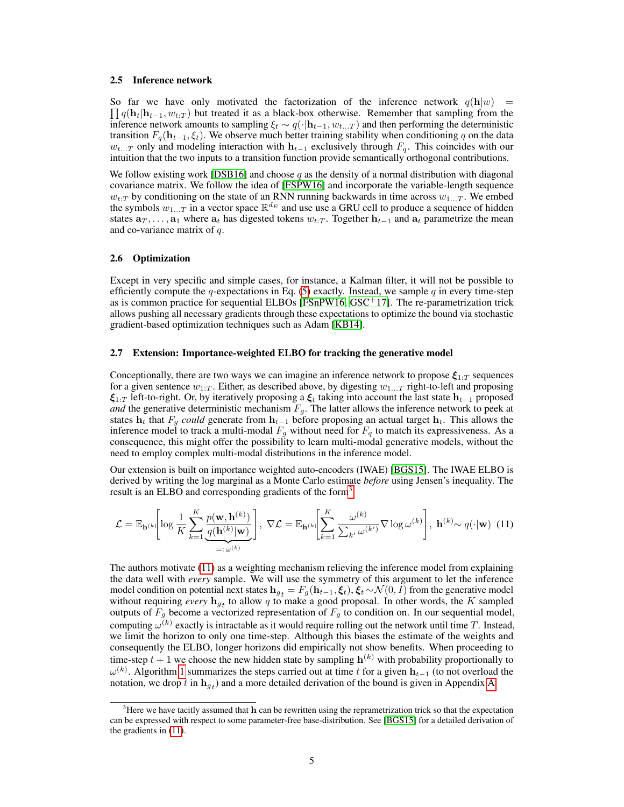#### 2.5 Inference network

 $\prod q(\mathbf{h}_t|\mathbf{h}_{t-1}, w_{t:T})$  but treated it as a black-box otherwise. Remember that sampling from the So far we have only motivated the factorization of the inference network  $q(\mathbf{h}|w)$  = inference network amounts to sampling  $\xi_t \sim q(\cdot|\mathbf{h}_{t-1}, w_{t...T})$  and then performing the deterministic transition  $F_q(\mathbf{h}_{t-1}, \xi_t)$ . We observe much better training stability when conditioning q on the data  $w_{t...T}$  only and modeling interaction with  $h_{t-1}$  exclusively through  $F_q$ . This coincides with our intuition that the two inputs to a transition function provide semantically orthogonal contributions.

<span id="page-5-6"></span><span id="page-5-4"></span>We follow existing work [\[DSB16\]](#page-10-13) and choose  $q$  as the density of a normal distribution with diagonal covariance matrix. We follow the idea of [\[FSPW16\]](#page-10-10) and incorporate the variable-length sequence  $w_{t:T}$  by conditioning on the state of an RNN running backwards in time across  $w_{1...T}$ . We embed the symbols  $w_{1...T}$  in a vector space  $\mathbb{R}^{d_E}$  and use use a GRU cell to produce a sequence of hidden states  $a_T, \ldots, a_1$  where  $a_t$  has digested tokens  $w_{t:T}$ . Together  $h_{t-1}$  and  $a_t$  parametrize the mean and co-variance matrix of  $q$ .

# 2.6 Optimization

<span id="page-5-5"></span>Except in very specific and simple cases, for instance, a Kalman filter, it will not be possible to efficiently compute the q-expectations in Eq. [\(5\)](#page-3-0) exactly. Instead, we sample  $q$  in every time-step as is common practice for sequential ELBOs [\[FSnPW16,](#page-10-12) [GSC](#page-10-11)<sup>+</sup>17]. The re-parametrization trick allows pushing all necessary gradients through these expectations to optimize the bound via stochastic gradient-based optimization techniques such as Adam [\[KB14\]](#page-10-14).

#### <span id="page-5-7"></span>2.7 Extension: Importance-weighted ELBO for tracking the generative model

Conceptionally, there are two ways we can imagine an inference network to propose  $\xi_{1:T}$  sequences for a given sentence  $w_{1:T}$ . Either, as described above, by digesting  $w_{1...T}$  right-to-left and proposing  $\xi_{1:T}$  left-to-right. Or, by iteratively proposing a  $\xi_t$  taking into account the last state  $\mathbf{h}_{t-1}$  proposed *and* the generative deterministic mechanism  $F<sub>g</sub>$ . The latter allows the inference network to peek at states  $h_t$  that  $F_g$  *could* generate from  $h_{t-1}$  before proposing an actual target  $h_t$ . This allows the inference model to track a multi-modal  $F<sub>q</sub>$  without need for  $F<sub>q</sub>$  to match its expressiveness. As a consequence, this might offer the possibility to learn multi-modal generative models, without the need to employ complex multi-modal distributions in the inference model.

<span id="page-5-2"></span>Our extension is built on importance weighted auto-encoders (IWAE) [\[BGS15\]](#page-10-15). The IWAE ELBO is derived by writing the log marginal as a Monte Carlo estimate *before* using Jensen's inequality. The result is an ELBO and corresponding gradients of the form<sup>[3](#page-5-0)</sup>

<span id="page-5-1"></span>
$$
\mathcal{L} = \mathbb{E}_{\mathbf{h}^{(k)}} \left[ \log \frac{1}{K} \sum_{k=1}^{K} \frac{p(\mathbf{w}, \mathbf{h}^{(k)})}{\frac{q(\mathbf{h}^{(k)}|\mathbf{w})}{\prod_{i=1}^{K} \omega^{(k)}}} \right], \ \nabla \mathcal{L} = \mathbb{E}_{\mathbf{h}^{(k)}} \left[ \sum_{k=1}^{K} \frac{\omega^{(k)}}{\sum_{k'} \omega^{(k')}} \nabla \log \omega^{(k)} \right], \ \mathbf{h}^{(k)} \sim q(\cdot | \mathbf{w}) \tag{11}
$$

The authors motivate [\(11\)](#page-5-1) as a weighting mechanism relieving the inference model from explaining the data well with *every* sample. We will use the symmetry of this argument to let the inference model condition on potential next states  $h_{gt} = F_g(h_{t-1}, \xi_t)$ ,  $\xi_t \sim \mathcal{N}(0, I)$  from the generative model without requiring *every*  $\mathbf{h}_{g_t}$  to allow q to make a good proposal. In other words, the K sampled outputs of  $F_g$  become a vectorized representation of  $F_g$  to condition on. In our sequential model, computing  $\omega^{(k)}$  exactly is intractable as it would require rolling out the network until time T. Instead, we limit the horizon to only one time-step. Although this biases the estimate of the weights and consequently the ELBO, longer horizons did empirically not show benefits. When proceeding to time-step  $t + 1$  we choose the new hidden state by sampling  $\mathbf{h}^{(k)}$  with probability proportionally to  $\omega^{(k)}$ . Algorithm [1](#page-6-0) summarizes the steps carried out at time t for a given  $\mathbf{h}_{t-1}$  (to not overload the notation, we drop t in  $\mathbf{h}_{g_t}$ ) and a more detailed derivation of the bound is given in Appendix [A.](#page-12-0)

<span id="page-5-3"></span><span id="page-5-0"></span> $3$ Here we have tacitly assumed that  $h$  can be rewritten using the reprametrization trick so that the expectation can be expressed with respect to some parameter-free base-distribution. See [\[BGS15\]](#page-10-15) for a detailed derivation of the gradients in [\(11\)](#page-5-1).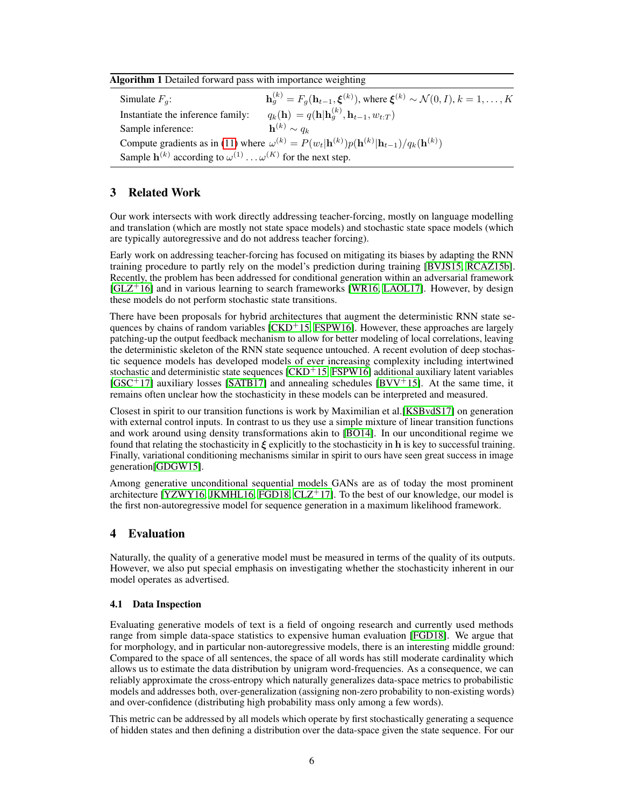<span id="page-6-0"></span>

| Algorithm 1 Detailed forward pass with importance weighting |  |  |  |  |
|-------------------------------------------------------------|--|--|--|--|
|                                                             |  |  |  |  |

Simulate  $F_a$ :  $g_g^{(k)}=F_g(\mathbf{h}_{t-1},\boldsymbol{\xi}^{(k)}),$  where  $\boldsymbol{\xi}^{(k)}\sim\mathcal{N}(0,I),$   $k=1,\ldots,K$ Instantiate the inference family:  $_{g}^{(k)},\mathbf{h}_{t-1},w_{t:T})$ Sample inference:  $\mathbf{h}^{(k)} \sim q_k$ Compute gradients as in [\(11\)](#page-5-1) where  $\omega^{(k)} = P(w_t | \mathbf{h}^{(k)}) p(\mathbf{h}^{(k)} | \mathbf{h}_{t-1}) / q_k(\mathbf{h}^{(k)})$ Sample  $\mathbf{h}^{(k)}$  according to  $\omega^{(1)} \dots \omega^{(K)}$  for the next step.

# 3 Related Work

Our work intersects with work directly addressing teacher-forcing, mostly on language modelling and translation (which are mostly not state space models) and stochastic state space models (which are typically autoregressive and do not address teacher forcing).

<span id="page-6-12"></span><span id="page-6-9"></span><span id="page-6-2"></span>Early work on addressing teacher-forcing has focused on mitigating its biases by adapting the RNN training procedure to partly rely on the model's prediction during training [\[BVJS15,](#page-10-8) [RCAZ15b\]](#page-11-12). Recently, the problem has been addressed for conditional generation within an adversarial framework  $[GLZ<sup>+</sup>16]$  $[GLZ<sup>+</sup>16]$  and in various learning to search frameworks [\[WR16,](#page-11-8) [LAOL17\]](#page-11-13). However, by design these models do not perform stochastic state transitions.

<span id="page-6-4"></span>There have been proposals for hybrid architectures that augment the deterministic RNN state sequences by chains of random variables  $\lfloor$ CKD<sup>+</sup>15, [FSPW16\]](#page-10-10). However, these approaches are largely patching-up the output feedback mechanism to allow for better modeling of local correlations, leaving the deterministic skeleton of the RNN state sequence untouched. A recent evolution of deep stochastic sequence models has developed models of ever increasing complexity including intertwined stochastic and deterministic state sequences  $[CKD+15, FSPW16]$  $[CKD+15, FSPW16]$  $[CKD+15, FSPW16]$  additional auxiliary latent variables  $[GSC+17]$  $[GSC+17]$  auxiliary losses  $[SATB17]$  and annealing schedules  $[BVV+15]$  $[BVV+15]$ . At the same time, it remains often unclear how the stochasticity in these models can be interpreted and measured.

<span id="page-6-13"></span><span id="page-6-11"></span><span id="page-6-10"></span><span id="page-6-5"></span><span id="page-6-3"></span><span id="page-6-1"></span>Closest in spirit to our transition functions is work by Maximilian et al.[\[KSBvdS17\]](#page-10-16) on generation with external control inputs. In contrast to us they use a simple mixture of linear transition functions and work around using density transformations akin to [\[BO14\]](#page-10-17). In our unconditional regime we found that relating the stochasticity in  $\xi$  explicitly to the stochasticity in h is key to successful training. Finally, variational conditioning mechanisms similar in spirit to ours have seen great success in image generation[\[GDGW15\]](#page-10-18).

<span id="page-6-8"></span><span id="page-6-6"></span>Among generative unconditional sequential models GANs are as of today the most prominent architecture [\[YZWY16,](#page-11-0) [JKMHL16,](#page-10-19) [FGD18,](#page-10-2) [CLZ](#page-10-20)<sup>+</sup>17]. To the best of our knowledge, our model is the first non-autoregressive model for sequence generation in a maximum likelihood framework.

# 4 Evaluation

Naturally, the quality of a generative model must be measured in terms of the quality of its outputs. However, we also put special emphasis on investigating whether the stochasticity inherent in our model operates as advertised.

# 4.1 Data Inspection

<span id="page-6-7"></span>Evaluating generative models of text is a field of ongoing research and currently used methods range from simple data-space statistics to expensive human evaluation [\[FGD18\]](#page-10-2). We argue that for morphology, and in particular non-autoregressive models, there is an interesting middle ground: Compared to the space of all sentences, the space of all words has still moderate cardinality which allows us to estimate the data distribution by unigram word-frequencies. As a consequence, we can reliably approximate the cross-entropy which naturally generalizes data-space metrics to probabilistic models and addresses both, over-generalization (assigning non-zero probability to non-existing words) and over-confidence (distributing high probability mass only among a few words).

This metric can be addressed by all models which operate by first stochastically generating a sequence of hidden states and then defining a distribution over the data-space given the state sequence. For our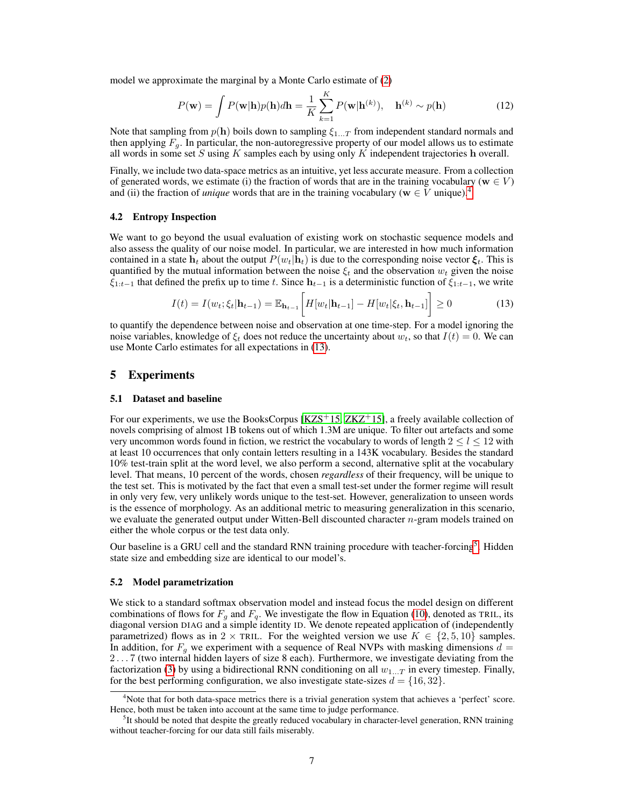model we approximate the marginal by a Monte Carlo estimate of [\(2\)](#page-2-1)

$$
P(\mathbf{w}) = \int P(\mathbf{w}|\mathbf{h})p(\mathbf{h})d\mathbf{h} = \frac{1}{K} \sum_{k=1}^{K} P(\mathbf{w}|\mathbf{h}^{(k)}), \quad \mathbf{h}^{(k)} \sim p(\mathbf{h})
$$
(12)

Note that sampling from  $p(h)$  boils down to sampling  $\xi_{1...T}$  from independent standard normals and then applying  $F_q$ . In particular, the non-autoregressive property of our model allows us to estimate all words in some set  $S$  using  $K$  samples each by using only  $K$  independent trajectories  $h$  overall.

Finally, we include two data-space metrics as an intuitive, yet less accurate measure. From a collection of generated words, we estimate (i) the fraction of words that are in the training vocabulary ( $\mathbf{w} \in V$ ) and (ii) the fraction of *unique* words that are in the training vocabulary ( $w \in V$  unique).<sup>[4](#page-7-0)</sup>

# 4.2 Entropy Inspection

We want to go beyond the usual evaluation of existing work on stochastic sequence models and also assess the quality of our noise model. In particular, we are interested in how much information contained in a state  $h_t$  about the output  $P(w_t|\mathbf{h}_t)$  is due to the corresponding noise vector  $\xi_t$ . This is quantified by the mutual information between the noise  $\xi_t$  and the observation  $w_t$  given the noise  $\xi_{1:t-1}$  that defined the prefix up to time t. Since  $h_{t-1}$  is a deterministic function of  $\xi_{1:t-1}$ , we write

<span id="page-7-3"></span><span id="page-7-1"></span>
$$
I(t) = I(w_t; \xi_t | \mathbf{h}_{t-1}) = \mathbb{E}_{\mathbf{h}_{t-1}} \bigg[ H[w_t | \mathbf{h}_{t-1}] - H[w_t | \xi_t, \mathbf{h}_{t-1}] \bigg] \ge 0 \tag{13}
$$

to quantify the dependence between noise and observation at one time-step. For a model ignoring the noise variables, knowledge of  $\xi_t$  does not reduce the uncertainty about  $w_t$ , so that  $I(t) = 0$ . We can use Monte Carlo estimates for all expectations in [\(13\)](#page-7-1).

# 5 Experiments

#### 5.1 Dataset and baseline

For our experiments, we use the BooksCorpus [\[KZS](#page-11-14)<sup>+</sup>15, [ZKZ](#page-11-15)<sup>+</sup>15], a freely available collection of novels comprising of almost 1B tokens out of which 1.3M are unique. To filter out artefacts and some very uncommon words found in fiction, we restrict the vocabulary to words of length  $2 \le l \le 12$  with at least 10 occurrences that only contain letters resulting in a 143K vocabulary. Besides the standard 10% test-train split at the word level, we also perform a second, alternative split at the vocabulary level. That means, 10 percent of the words, chosen *regardless* of their frequency, will be unique to the test set. This is motivated by the fact that even a small test-set under the former regime will result in only very few, very unlikely words unique to the test-set. However, generalization to unseen words is the essence of morphology. As an additional metric to measuring generalization in this scenario, we evaluate the generated output under Witten-Bell discounted character n-gram models trained on either the whole corpus or the test data only.

Our baseline is a GRU cell and the standard RNN training procedure with teacher-forcing<sup>[5](#page-7-2)</sup>. Hidden state size and embedding size are identical to our model's.

#### 5.2 Model parametrization

We stick to a standard softmax observation model and instead focus the model design on different combinations of flows for  $F_g$  and  $F_g$ . We investigate the flow in Equation [\(10\)](#page-4-2), denoted as TRIL, its diagonal version DIAG and a simple identity ID. We denote repeated application of (independently parametrized) flows as in 2 × TRIL. For the weighted version we use  $K \in \{2, 5, 10\}$  samples. In addition, for  $F_q$  we experiment with a sequence of Real NVPs with masking dimensions  $d =$ 2 . . . 7 (two internal hidden layers of size 8 each). Furthermore, we investigate deviating from the factorization [\(3\)](#page-3-2) by using a bidirectional RNN conditioning on all  $w_{1...T}$  in every timestep. Finally, for the best performing configuration, we also investigate state-sizes  $d = \{16, 32\}$ .

<span id="page-7-0"></span><sup>&</sup>lt;sup>4</sup>Note that for both data-space metrics there is a trivial generation system that achieves a 'perfect' score. Hence, both must be taken into account at the same time to judge performance.

<span id="page-7-2"></span><sup>&</sup>lt;sup>5</sup>It should be noted that despite the greatly reduced vocabulary in character-level generation, RNN training without teacher-forcing for our data still fails miserably.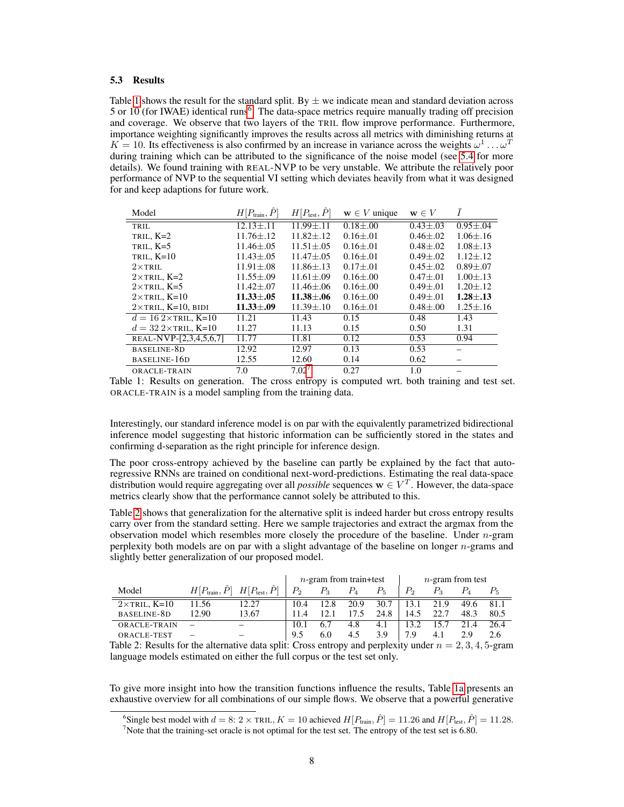#### 5.3 Results

Table [1](#page-8-0) shows the result for the standard split. By  $\pm$  we indicate mean and standard deviation across 5 or 10 (for IWAE) identical runs<sup>[6](#page-8-1)</sup>. The data-space metrics require manually trading off precision and coverage. We observe that two layers of the TRIL flow improve performance. Furthermore, importance weighting significantly improves the results across all metrics with diminishing returns at  $K = 10$ . Its effectiveness is also confirmed by an increase in variance across the weights  $\omega^1 \dots \omega^T$ during training which can be attributed to the significance of the noise model (see [5.4](#page-9-0) for more details). We found training with REAL-NVP to be very unstable. We attribute the relatively poor performance of NVP to the sequential VI setting which deviates heavily from what it was designed for and keep adaptions for future work.

<span id="page-8-0"></span>

| Model                                | $H[P_{\text{train}}, \hat{P}]$ | $H[P_{\text{test}}, P]$ | $\mathbf{w} \in V$ unique | $\mathbf{w} \in V$ | I              |
|--------------------------------------|--------------------------------|-------------------------|---------------------------|--------------------|----------------|
| TRIL                                 | $12.13 + .11$                  | $11.99 + 11$            | $0.18 + 0.00$             | $0.43 \pm 0.03$    | $0.95 \pm .04$ |
| TRIL, $K=2$                          | $11.76 \pm .12$                | $11.82 + .12$           | $0.16 \pm .01$            | $0.46 \pm 0.02$    | $1.06 \pm .16$ |
| TRIL, $K=5$                          | $11.46 + .05$                  | $11.51 + .05$           | $0.16 + 0.01$             | $0.48 + 0.02$      | $1.08 + .13$   |
| TRIL, $K=10$                         | $11.43 \pm .05$                | $11.47 + .05$           | $0.16 + 0.01$             | $0.49 + 0.02$      | $1.12 + .12$   |
| $2\times$ TRIL                       | $11.91 \pm .08$                | $11.86 + .13$           | $0.17 + 0.01$             | $0.45 + 0.02$      | $0.89 + 0.07$  |
| $2\times$ TRIL, K=2                  | $11.55 \pm .09$                | $11.61 \pm .09$         | $0.16 \pm 0.00$           | $0.47 + 0.01$      | $1.00 \pm .13$ |
| $2\times$ TRIL, K=5                  | $11.42 \pm .07$                | $11.46 + .06$           | $0.16 \pm 0.00$           | $0.49 \pm 0.01$    | $1.20 \pm .12$ |
| $2\times$ TRIL, K=10                 | $11.33 \pm .05$                | $11.38 \pm .06$         | $0.16 \pm 0.00$           | $0.49 \pm 0.01$    | $1.28 \pm .13$ |
| $2\times$ TRIL, $K=10$ , BIDI        | $11.33 \pm .09$                | $11.39 + .10$           | $0.16 \pm .01$            | $0.48 + 0.00$      | $1.25 \pm .16$ |
| $d = 162 \times \text{TRIL}$ , K=10  | 11.21                          | 11.43                   | 0.15                      | 0.48               | 1.43           |
| $d = 32.2 \times \text{TRIL}$ , K=10 | 11.27                          | 11.13                   | 0.15                      | 0.50               | 1.31           |
| REAL-NVP-[2,3,4,5,6,7]               | 11.77                          | 11.81                   | 0.12                      | 0.53               | 0.94           |
| BASELINE-8D                          | 12.92                          | 12.97                   | 0.13                      | 0.53               |                |
| BASELINE-16D                         | 12.55                          | 12.60                   | 0.14                      | 0.62               |                |
| ORACLE-TRAIN                         | 7.0                            | 7.02'                   | 0.27                      | 1.0                |                |

Table 1: Results on generation. The cross entropy is computed wrt. both training and test set. ORACLE-TRAIN is a model sampling from the training data.

Interestingly, our standard inference model is on par with the equivalently parametrized bidirectional inference model suggesting that historic information can be sufficiently stored in the states and confirming d-separation as the right principle for inference design.

The poor cross-entropy achieved by the baseline can partly be explained by the fact that autoregressive RNNs are trained on conditional next-word-predictions. Estimating the real data-space distribution would require aggregating over all *possible* sequences  $\mathbf{w} \in V^T$ . However, the data-space metrics clearly show that the performance cannot solely be attributed to this.

Table [2](#page-8-3) shows that generalization for the alternative split is indeed harder but cross entropy results carry over from the standard setting. Here we sample trajectories and extract the argmax from the observation model which resembles more closely the procedure of the baseline. Under  $n$ -gram perplexity both models are on par with a slight advantage of the baseline on longer n-grams and slightly better generalization of our proposed model.

<span id="page-8-3"></span>

|                                   |                               | $n$ -gram from train+test |       |       | $n$ -gram from test |         |         |      |      |
|-----------------------------------|-------------------------------|---------------------------|-------|-------|---------------------|---------|---------|------|------|
| $H[P_{\text{train}}, P]$<br>Model | $H[P_{\text{test}}, \hat{P}]$ | $P_{2}$                   | $P_3$ | $P_4$ | $P_5$               | $P_{2}$ | $P_{3}$ |      |      |
| $2\times$ TRIL, K=10<br>11.56     | 12.27                         | 10.4                      | 12.8  | 20.9  | 30.7                |         | 21.9    | 49.6 | 81.1 |
| BASELINE-8D<br>12.90              | 13.67                         |                           |       |       | 24.8                | 14.5    |         | 48.3 | 80.5 |
| ORACLE-TRAIN                      |                               | 10.1                      |       | 4.8   | 4.1                 | 13.2    |         | 21.4 | 26.4 |
| ORACLE-TEST                       |                               | 9.5                       | 6.0   | 4.5   | 3.9                 | 7.9     | 4.1     | 2.9  | 2.6  |

Table 2: Results for the alternative data split: Cross entropy and perplexity under  $n = 2, 3, 4, 5$ -gram language models estimated on either the full corpus or the test set only.

To give more insight into how the transition functions influence the results, Table [1a](#page-9-1) presents an exhaustive overview for all combinations of our simple flows. We observe that a powerful generative

<span id="page-8-1"></span><sup>&</sup>lt;sup>6</sup>Single best model with  $d = 8$ :  $2 \times$  TRIL,  $K = 10$  achieved  $H[P_{\text{train}}, \hat{P}] = 11.26$  and  $H[P_{\text{test}}, \hat{P}] = 11.28$ .

<span id="page-8-2"></span><sup>&</sup>lt;sup>7</sup>Note that the training-set oracle is not optimal for the test set. The entropy of the test set is  $6.80$ .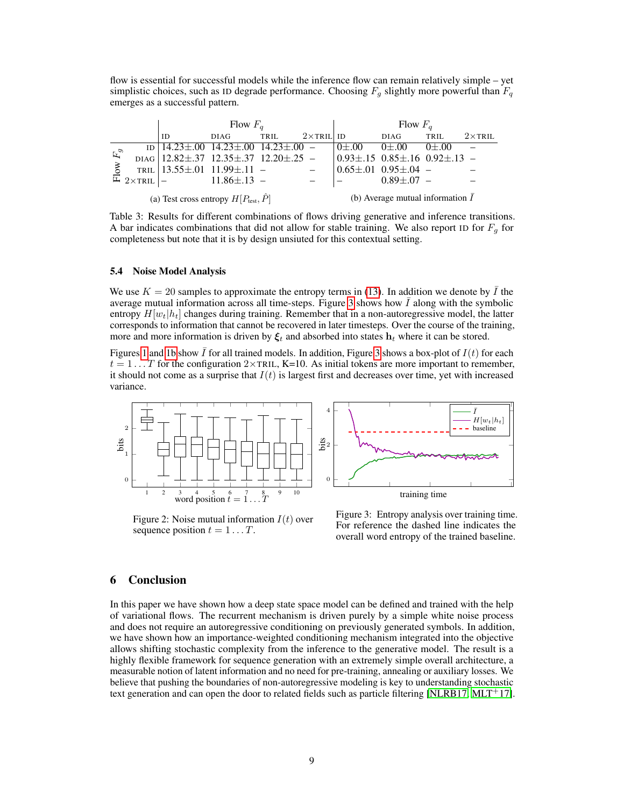flow is essential for successful models while the inference flow can remain relatively simple – yet simplistic choices, such as ID degrade performance. Choosing  $F_q$  slightly more powerful than  $F_q$ emerges as a successful pattern.

<span id="page-9-1"></span>

|                       |                               | Flow $F_q$ |                                                          |                                    |                   | Flow $F_a$  |                                                                    |             |                |  |
|-----------------------|-------------------------------|------------|----------------------------------------------------------|------------------------------------|-------------------|-------------|--------------------------------------------------------------------|-------------|----------------|--|
|                       |                               | ID         | <b>DIAG</b>                                              | TRIL                               | $2\times$ TRIL ID |             | DIAG                                                               | TRIL        | $2\times$ TRIL |  |
| $F_g$<br>$\mathsf{N}$ |                               |            | $\overline{1D}$ 14.23±.00 14.23±.00 14.23±.00 -          |                                    |                   | $0 \pm .00$ | $0\pm.00$                                                          | $0 \pm .00$ |                |  |
|                       |                               |            | DIAG   $12.82 \pm .37$ $12.35 \pm .37$ $12.20 \pm .25$ - |                                    |                   |             | $\vert 0.93 \pm .15 \vert 0.85 \pm .16 \vert 0.92 \pm .13 \vert -$ |             |                |  |
|                       |                               |            | TRIL $13.55 \pm .01$ 11.99 $\pm .11$ -                   |                                    |                   |             | $\vert 0.65 \pm .01 \vert 0.95 \pm .04 \vert -$                    |             |                |  |
|                       | $\mathbb{E}$ 2×TRIL $\vert$ – |            | $11.86 \pm .13$ -                                        |                                    |                   |             | $0.89 \pm 0.07 -$                                                  |             |                |  |
|                       |                               |            | (a) Test cross entropy $H[P_{\text{test}}, P]$           | (b) Average mutual information $I$ |                   |             |                                                                    |             |                |  |

Table 3: Results for different combinations of flows driving generative and inference transitions. A bar indicates combinations that did not allow for stable training. We also report ID for  $F_q$  for completeness but note that it is by design unsiuted for this contextual setting.

# <span id="page-9-0"></span>5.4 Noise Model Analysis

We use  $K = 20$  samples to approximate the entropy terms in [\(13\)](#page-7-1). In addition we denote by  $\bar{I}$  the average mutual information across all time-steps. Figure [3](#page-9-2) shows how  $\overline{I}$  along with the symbolic entropy  $H[w_t|h_t]$  changes during training. Remember that in a non-autoregressive model, the latter corresponds to information that cannot be recovered in later timesteps. Over the course of the training, more and more information is driven by  $\xi_t$  and absorbed into states  $h_t$  where it can be stored.

Figures [1](#page-8-0) and [1b](#page-9-1) show  $\bar{I}$  for all trained models. In addition, Figure [3](#page-9-2) shows a box-plot of  $I(t)$  for each  $t = 1 \dots T$  for the configuration  $2 \times \text{TRIL}$ , K=10. As initial tokens are more important to remember, it should not come as a surprise that  $I(t)$  is largest first and decreases over time, yet with increased variance.

<span id="page-9-2"></span>

Figure 2: Noise mutual information  $I(t)$  over sequence position  $t = 1 \dots T$ .

<span id="page-9-3"></span>Figure 3: Entropy analysis over training time. For reference the dashed line indicates the overall word entropy of the trained baseline.

# 6 Conclusion

In this paper we have shown how a deep state space model can be defined and trained with the help of variational flows. The recurrent mechanism is driven purely by a simple white noise process and does not require an autoregressive conditioning on previously generated symbols. In addition, we have shown how an importance-weighted conditioning mechanism integrated into the objective allows shifting stochastic complexity from the inference to the generative model. The result is a highly flexible framework for sequence generation with an extremely simple overall architecture, a measurable notion of latent information and no need for pre-training, annealing or auxiliary losses. We believe that pushing the boundaries of non-autoregressive modeling is key to understanding stochastic text generation and can open the door to related fields such as particle filtering [\[NLRB17,](#page-11-16) [MLT](#page-11-17)<sup>+</sup>17].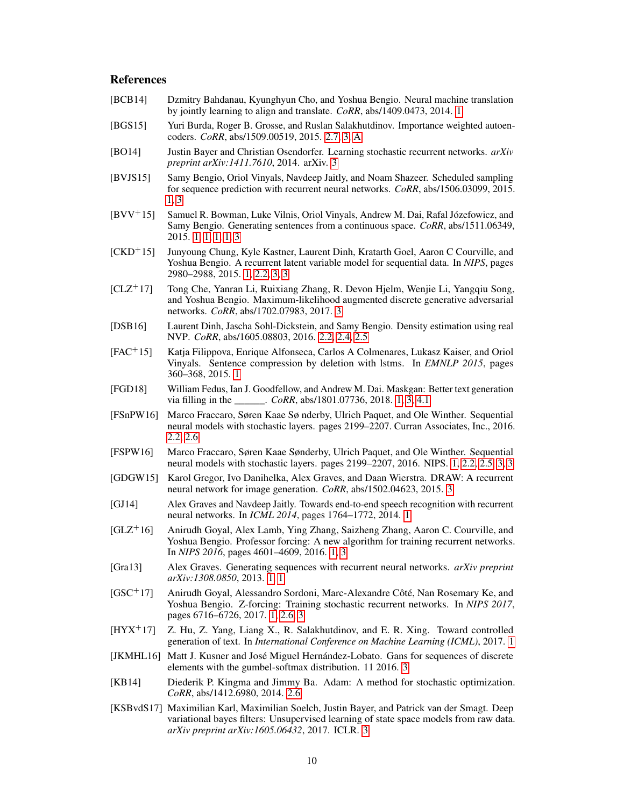# References

- <span id="page-10-3"></span>[BCB14] Dzmitry Bahdanau, Kyunghyun Cho, and Yoshua Bengio. Neural machine translation by jointly learning to align and translate. *CoRR*, abs/1409.0473, 2014. [1](#page-1-0)
- <span id="page-10-15"></span>[BGS15] Yuri Burda, Roger B. Grosse, and Ruslan Salakhutdinov. Importance weighted autoencoders. *CoRR*, abs/1509.00519, 2015. [2.7,](#page-5-2) [3,](#page-5-3) [A](#page-12-1)
- <span id="page-10-17"></span>[BO14] Justin Bayer and Christian Osendorfer. Learning stochastic recurrent networks. *arXiv preprint arXiv:1411.7610*, 2014. arXiv. [3](#page-6-1)
- <span id="page-10-8"></span>[BVJS15] Samy Bengio, Oriol Vinyals, Navdeep Jaitly, and Noam Shazeer. Scheduled sampling for sequence prediction with recurrent neural networks. *CoRR*, abs/1506.03099, 2015. [1,](#page-2-3) [3](#page-6-2)
- <span id="page-10-1"></span>[BVV+15] Samuel R. Bowman, Luke Vilnis, Oriol Vinyals, Andrew M. Dai, Rafal Józefowicz, and Samy Bengio. Generating sentences from a continuous space. *CoRR*, abs/1511.06349, 2015. [1,](#page-1-1) [1,](#page-2-4) [1,](#page-2-5) [1,](#page-2-6) [3](#page-6-3)
- <span id="page-10-9"></span>[CKD+15] Junyoung Chung, Kyle Kastner, Laurent Dinh, Kratarth Goel, Aaron C Courville, and Yoshua Bengio. A recurrent latent variable model for sequential data. In *NIPS*, pages 2980–2988, 2015. [1,](#page-2-7) [2.2,](#page-3-3) [3,](#page-6-4) [3](#page-6-5)
- <span id="page-10-20"></span>[CLZ+17] Tong Che, Yanran Li, Ruixiang Zhang, R. Devon Hjelm, Wenjie Li, Yangqiu Song, and Yoshua Bengio. Maximum-likelihood augmented discrete generative adversarial networks. *CoRR*, abs/1702.07983, 2017. [3](#page-6-6)
- <span id="page-10-13"></span>[DSB16] Laurent Dinh, Jascha Sohl-Dickstein, and Samy Bengio. Density estimation using real NVP. *CoRR*, abs/1605.08803, 2016. [2.2,](#page-3-4) [2.4,](#page-4-3) [2.5](#page-5-4)
- <span id="page-10-4"></span>[FAC<sup>+</sup>15] Katja Filippova, Enrique Alfonseca, Carlos A Colmenares, Lukasz Kaiser, and Oriol Vinyals. Sentence compression by deletion with lstms. In *EMNLP 2015*, pages 360–368, 2015. [1](#page-1-2)
- <span id="page-10-2"></span>[FGD18] William Fedus, Ian J. Goodfellow, and Andrew M. Dai. Maskgan: Better text generation via filling in the \_\_\_\_\_\_. *CoRR*, abs/1801.07736, 2018. [1,](#page-1-3) [3,](#page-6-6) [4.1](#page-6-7)
- <span id="page-10-12"></span>[FSnPW16] Marco Fraccaro, Søren Kaae Sø nderby, Ulrich Paquet, and Ole Winther. Sequential neural models with stochastic layers. pages 2199–2207. Curran Associates, Inc., 2016. [2.2,](#page-3-3) [2.6](#page-5-5)
- <span id="page-10-10"></span>[FSPW16] Marco Fraccaro, Søren Kaae Sønderby, Ulrich Paquet, and Ole Winther. Sequential neural models with stochastic layers. pages 2199–2207, 2016. NIPS. [1,](#page-2-7) [2.2,](#page-3-5) [2.5,](#page-5-6) [3,](#page-6-4) [3](#page-6-5)
- <span id="page-10-18"></span>[GDGW15] Karol Gregor, Ivo Danihelka, Alex Graves, and Daan Wierstra. DRAW: A recurrent neural network for image generation. *CoRR*, abs/1502.04623, 2015. [3](#page-6-8)
- <span id="page-10-5"></span>[GJ14] Alex Graves and Navdeep Jaitly. Towards end-to-end speech recognition with recurrent neural networks. In *ICML 2014*, pages 1764–1772, 2014. [1](#page-1-4)
- <span id="page-10-7"></span> $[GLZ^+16]$  Anirudh Goyal, Alex Lamb, Ying Zhang, Saizheng Zhang, Aaron C. Courville, and Yoshua Bengio. Professor forcing: A new algorithm for training recurrent networks. In *NIPS 2016*, pages 4601–4609, 2016. [1,](#page-1-5) [3](#page-6-9)
- <span id="page-10-6"></span>[Gra13] Alex Graves. Generating sequences with recurrent neural networks. *arXiv preprint arXiv:1308.0850*, 2013. [1,](#page-1-6) [1](#page-2-8)
- <span id="page-10-11"></span>[GSC<sup>+</sup>17] Anirudh Goyal, Alessandro Sordoni, Marc-Alexandre Côté, Nan Rosemary Ke, and Yoshua Bengio. Z-forcing: Training stochastic recurrent networks. In *NIPS 2017*, pages 6716–6726, 2017. [1,](#page-2-9) [2.6,](#page-5-5) [3](#page-6-10)
- <span id="page-10-0"></span>[HYX<sup>+</sup>17] Z. Hu, Z. Yang, Liang X., R. Salakhutdinov, and E. R. Xing. Toward controlled generation of text. In *International Conference on Machine Learning (ICML)*, 2017. [1](#page-1-7)
- <span id="page-10-19"></span>[JKMHL16] Matt J. Kusner and José Miguel Hernández-Lobato. Gans for sequences of discrete elements with the gumbel-softmax distribution. 11 2016. [3](#page-6-6)
- <span id="page-10-14"></span>[KB14] Diederik P. Kingma and Jimmy Ba. Adam: A method for stochastic optimization. *CoRR*, abs/1412.6980, 2014. [2.6](#page-5-7)
- <span id="page-10-16"></span>[KSBvdS17] Maximilian Karl, Maximilian Soelch, Justin Bayer, and Patrick van der Smagt. Deep variational bayes filters: Unsupervised learning of state space models from raw data. *arXiv preprint arXiv:1605.06432*, 2017. ICLR. [3](#page-6-11)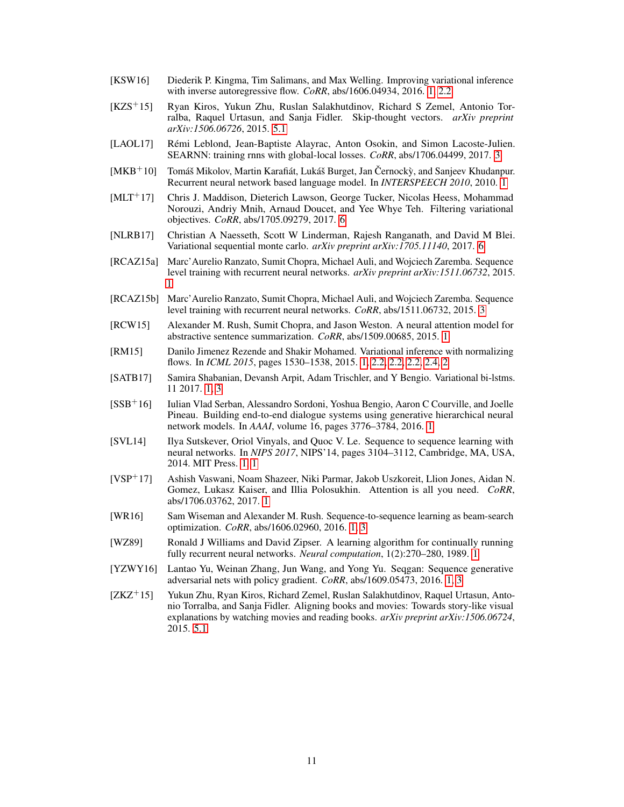- <span id="page-11-11"></span>[KSW16] Diederik P. Kingma, Tim Salimans, and Max Welling. Improving variational inference with inverse autoregressive flow. *CoRR*, abs/1606.04934, 2016. [1,](#page-2-10) [2.2](#page-3-6)
- <span id="page-11-14"></span>[KZS+15] Ryan Kiros, Yukun Zhu, Ruslan Salakhutdinov, Richard S Zemel, Antonio Torralba, Raquel Urtasun, and Sanja Fidler. Skip-thought vectors. *arXiv preprint arXiv:1506.06726*, 2015. [5.1](#page-7-3)
- <span id="page-11-13"></span>[LAOL17] Rémi Leblond, Jean-Baptiste Alayrac, Anton Osokin, and Simon Lacoste-Julien. SEARNN: training rnns with global-local losses. *CoRR*, abs/1706.04499, 2017. [3](#page-6-12)
- <span id="page-11-5"></span> $[MKB+10]$  Tomáš Mikolov, Martin Karafiát, Lukáš Burget, Jan Černocký, and Sanjeev Khudanpur. Recurrent neural network based language model. In *INTERSPEECH 2010*, 2010. [1](#page-1-4)
- <span id="page-11-17"></span>[MLT+17] Chris J. Maddison, Dieterich Lawson, George Tucker, Nicolas Heess, Mohammad Norouzi, Andriy Mnih, Arnaud Doucet, and Yee Whye Teh. Filtering variational objectives. *CoRR*, abs/1705.09279, 2017. [6](#page-9-3)
- <span id="page-11-16"></span>[NLRB17] Christian A Naesseth, Scott W Linderman, Rajesh Ranganath, and David M Blei. Variational sequential monte carlo. *arXiv preprint arXiv:1705.11140*, 2017. [6](#page-9-3)
- <span id="page-11-7"></span>[RCAZ15a] Marc'Aurelio Ranzato, Sumit Chopra, Michael Auli, and Wojciech Zaremba. Sequence level training with recurrent neural networks. *arXiv preprint arXiv:1511.06732*, 2015. [1](#page-1-5)
- <span id="page-11-12"></span>[RCAZ15b] Marc'Aurelio Ranzato, Sumit Chopra, Michael Auli, and Wojciech Zaremba. Sequence level training with recurrent neural networks. *CoRR*, abs/1511.06732, 2015. [3](#page-6-2)
- <span id="page-11-3"></span>[RCW15] Alexander M. Rush, Sumit Chopra, and Jason Weston. A neural attention model for abstractive sentence summarization. *CoRR*, abs/1509.00685, 2015. [1](#page-1-8)
- <span id="page-11-10"></span>[RM15] Danilo Jimenez Rezende and Shakir Mohamed. Variational inference with normalizing flows. In *ICML 2015*, pages 1530–1538, 2015. [1,](#page-2-10) [2.2,](#page-3-6) [2.2,](#page-3-7) [2.2,](#page-3-4) [2.4,](#page-4-4) [2](#page-4-5)
- <span id="page-11-9"></span>[SATB17] Samira Shabanian, Devansh Arpit, Adam Trischler, and Y Bengio. Variational bi-lstms. 11 2017. [1,](#page-2-11) [3](#page-6-13)
- <span id="page-11-4"></span>[SSB<sup>+</sup>16] Iulian Vlad Serban, Alessandro Sordoni, Yoshua Bengio, Aaron C Courville, and Joelle Pineau. Building end-to-end dialogue systems using generative hierarchical neural network models. In *AAAI*, volume 16, pages 3776–3784, 2016. [1](#page-1-9)
- <span id="page-11-1"></span>[SVL14] Ilya Sutskever, Oriol Vinyals, and Quoc V. Le. Sequence to sequence learning with neural networks. In *NIPS 2017*, NIPS'14, pages 3104–3112, Cambridge, MA, USA, 2014. MIT Press. [1,](#page-1-10) [1](#page-1-11)
- <span id="page-11-2"></span>[VSP<sup>+</sup>17] Ashish Vaswani, Noam Shazeer, Niki Parmar, Jakob Uszkoreit, Llion Jones, Aidan N. Gomez, Lukasz Kaiser, and Illia Polosukhin. Attention is all you need. *CoRR*, abs/1706.03762, 2017. [1](#page-1-0)
- <span id="page-11-8"></span>[WR16] Sam Wiseman and Alexander M. Rush. Sequence-to-sequence learning as beam-search optimization. *CoRR*, abs/1606.02960, 2016. [1,](#page-2-12) [3](#page-6-12)
- <span id="page-11-6"></span>[WZ89] Ronald J Williams and David Zipser. A learning algorithm for continually running fully recurrent neural networks. *Neural computation*, 1(2):270–280, 1989. [1](#page-1-12)
- <span id="page-11-0"></span>[YZWY16] Lantao Yu, Weinan Zhang, Jun Wang, and Yong Yu. Seqgan: Sequence generative adversarial nets with policy gradient. *CoRR*, abs/1609.05473, 2016. [1,](#page-1-3) [3](#page-6-6)
- <span id="page-11-15"></span>[ZKZ<sup>+</sup>15] Yukun Zhu, Ryan Kiros, Richard Zemel, Ruslan Salakhutdinov, Raquel Urtasun, Antonio Torralba, and Sanja Fidler. Aligning books and movies: Towards story-like visual explanations by watching movies and reading books. *arXiv preprint arXiv:1506.06724*, 2015. [5.1](#page-7-3)